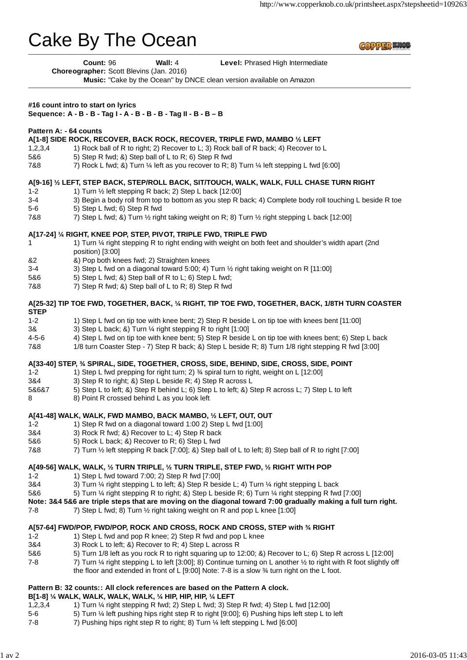# Cake By The Ocean

**COPPER KNO** 

**Count: 96 Wall: 4 Level: Phrased High Intermediate** 

**Choreographer:** Scott Blevins (Jan. 2016)

**Music:** "Cake by the Ocean" by DNCE clean version available on Amazon

# **#16 count intro to start on lyrics**

# **Sequence: A - B - B - Tag I - A - B - B - B - Tag II - B - B – B**

## **Pattern A: - 64 counts**

## **A[1-8] SIDE ROCK, RECOVER, BACK ROCK, RECOVER, TRIPLE FWD, MAMBO ½ LEFT**

- 1,2,3,4 1) Rock ball of R to right; 2) Recover to L; 3) Rock ball of R back; 4) Recover to L
- 5&6 5) Step R fwd; &) Step ball of L to R; 6) Step R fwd
- 7&8 788 7) Rock L fwd; &) Turn ¼ left as you recover to R; 8) Turn ¼ left stepping L fwd [6:00]

## **A[9-16] ½ LEFT, STEP BACK, STEP/ROLL BACK, SIT/TOUCH, WALK, WALK, FULL CHASE TURN RIGHT**

- 1-2 1) Turn ½ left stepping R back; 2) Step L back [12:00]
- 3-4 3) Begin a body roll from top to bottom as you step R back; 4) Complete body roll touching L beside R toe
- 5-6 5) Step L fwd; 6) Step R fwd
- 7&8 7) Step L fwd; &) Turn ½ right taking weight on R; 8) Turn ½ right stepping L back [12:00]

# **A[17-24] ¼ RIGHT, KNEE POP, STEP, PIVOT, TRIPLE FWD, TRIPLE FWD**

- 1 1) Turn ¼ right stepping R to right ending with weight on both feet and shoulder's width apart (2nd position) [3:00]
- &2 &) Pop both knees fwd; 2) Straighten knees
- 3-4 3) Step L fwd on a diagonal toward 5:00; 4) Turn ½ right taking weight on R [11:00]
- 5&6 5) Step L fwd; &) Step ball of R to L; 6) Step L fwd;
- 7&8 7) Step R fwd; &) Step ball of L to R; 8) Step R fwd

## **A[25-32] TIP TOE FWD, TOGETHER, BACK, ¼ RIGHT, TIP TOE FWD, TOGETHER, BACK, 1/8TH TURN COASTER STEP**

- 
- 1-2 1) Step L fwd on tip toe with knee bent; 2) Step R beside L on tip toe with knees bent [11:00]
- 3& 3) Step L back; &) Turn ¼ right stepping R to right [1:00]
- 4-5-6 4) Step L fwd on tip toe with knee bent; 5) Step R beside L on tip toe with knees bent; 6) Step L back
- 7&8 1/8 turn Coaster Step 7) Step R back; &) Step L beside R; 8) Turn 1/8 right stepping R fwd [3:00]

## **A[33-40] STEP, ¾ SPIRAL, SIDE, TOGETHER, CROSS, SIDE, BEHIND, SIDE, CROSS, SIDE, POINT**

- 1-2 1) Step L fwd prepping for right turn; 2) ¾ spiral turn to right, weight on L [12:00]
- 3&4 3) Step R to right; &) Step L beside R; 4) Step R across L
- 5&6&7 5) Step L to left; &) Step R behind L; 6) Step L to left; &) Step R across L; 7) Step L to left
- 8 8) Point R crossed behind L as you look left

## **A[41-48] WALK, WALK, FWD MAMBO, BACK MAMBO, ½ LEFT, OUT, OUT**

- 1-2 1) Step R fwd on a diagonal toward 1:00 2) Step L fwd [1:00]
- 3&4 3) Rock R fwd; &) Recover to L; 4) Step R back
- 5&6 5) Rock L back; &) Recover to R; 6) Step L fwd
- 7&8 7) Turn ½ left stepping R back [7:00]; &) Step ball of L to left; 8) Step ball of R to right [7:00]

# **A[49-56] WALK, WALK, ½ TURN TRIPLE, ½ TURN TRIPLE, STEP FWD, ½ RIGHT WITH POP**

- 1-2 1) Step L fwd toward 7:00; 2) Step R fwd [7:00]
- 3&4 3) Turn ¼ right stepping L to left; &) Step R beside L; 4) Turn ¼ right stepping L back
- 5&6 5) Turn ¼ right stepping R to right; &) Step L beside R; 6) Turn ¼ right stepping R fwd [7:00]
- **Note: 3&4 5&6 are triple steps that are moving on the diagonal toward 7:00 gradually making a full turn right.**
- 7-8 7) Step L fwd; 8) Turn 1/2 right taking weight on R and pop L knee [1:00]

## **A[57-64] FWD/POP, FWD/POP, ROCK AND CROSS, ROCK AND CROSS, STEP with ¾ RIGHT**

- 1-2 1) Step L fwd and pop R knee; 2) Step R fwd and pop L knee
- 3&4 3) Rock L to left; &) Recover to R; 4) Step L across R
- 5&6 5) Turn 1/8 left as you rock R to right squaring up to 12:00; &) Recover to L; 6) Step R across L [12:00]
- 7-8 7) Turn ¼ right stepping L to left [3:00]; 8) Continue turning on L another ½ to right with R foot slightly off the floor and extended in front of L [9:00] Note: 7-8 is a slow ¾ turn right on the L foot.

## **Pattern B: 32 counts:: All clock references are based on the Pattern A clock.**

#### **B[1-8] ¼ WALK, WALK, WALK, WALK, ¼ HIP, HIP, HIP, ¼ LEFT**

- 1,2,3,4 1) Turn ¼ right stepping R fwd; 2) Step L fwd; 3) Step R fwd; 4) Step L fwd [12:00]
- 5-6 5) Turn ¼ left pushing hips right step R to right [9:00]; 6) Pushing hips left step L to left
- 7-8 7) Pushing hips right step R to right; 8) Turn ¼ left stepping L fwd [6:00]